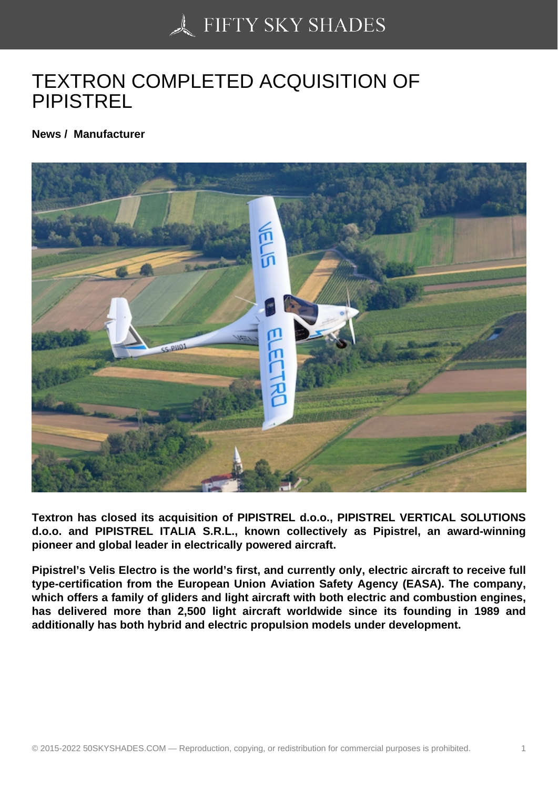## [TEXTRON COMPLETE](https://50skyshades.com)D ACQUISITION OF PIPISTREL

News / Manufacturer

Textron has closed its acquisition of PIPISTREL d.o.o., PIPISTREL VERTICAL SOLUTIONS d.o.o. and PIPISTREL ITALIA S.R.L., known collectively as Pipistrel, an award-winning pioneer and global leader in electrically powered aircraft.

Pipistrel's Velis Electro is the world's first, and currently only, electric aircraft to receive full type-certification from the European Union Aviation Safety Agency (EASA). The company, which offers a family of gliders and light aircraft with both electric and combustion engines, has delivered more than 2,500 light aircraft worldwide since its founding in 1989 and additionally has both hybrid and electric propulsion models under development.